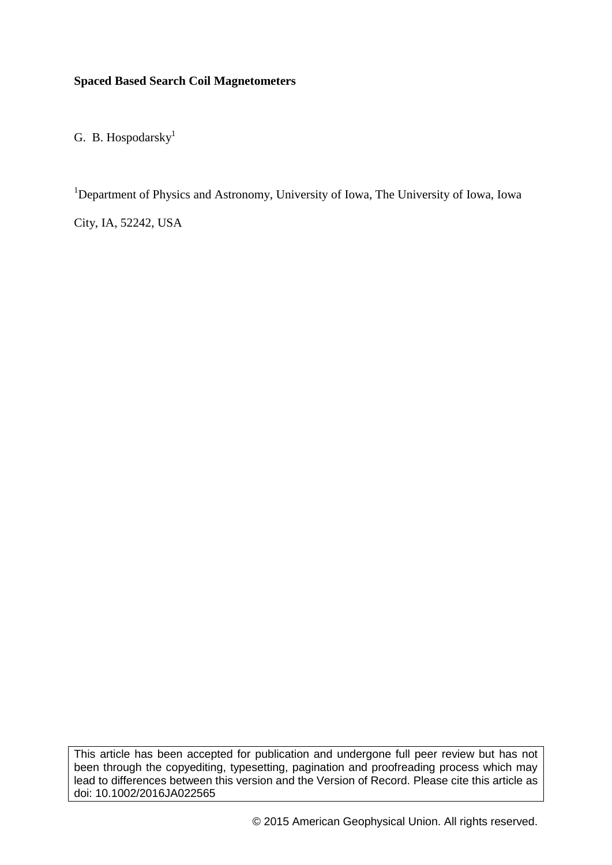# **Spaced Based Search Coil Magnetometers**

G. B. Hospodarsky $<sup>1</sup>$ </sup>

<sup>1</sup>Department of Physics and Astronomy, University of Iowa, The University of Iowa, Iowa

City, IA, 52242, USA

This article has been accepted for publication and undergone full peer review but has not been through the copyediting, typesetting, pagination and proofreading process which may lead to differences between this version and the Version of Record. Please cite this article as doi: 10.1002/2016JA022565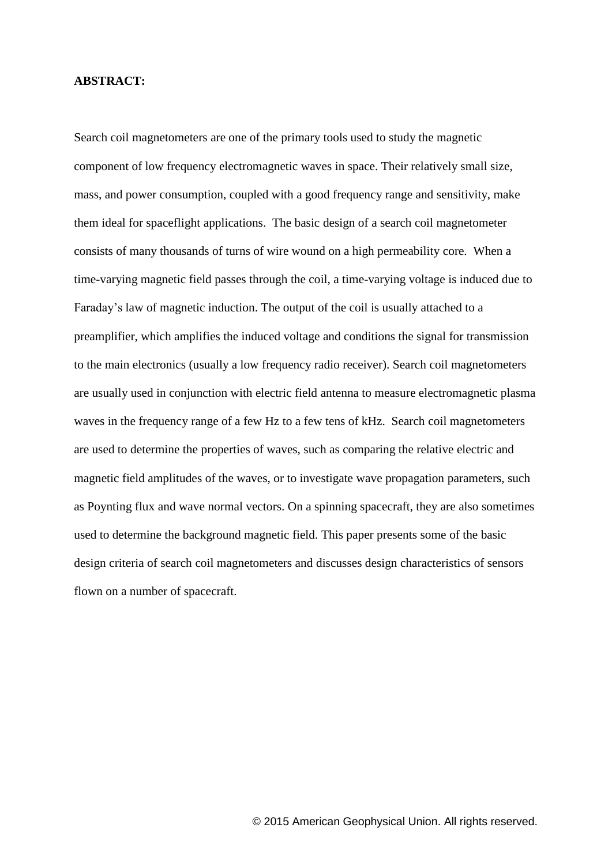### **ABSTRACT:**

Search coil magnetometers are one of the primary tools used to study the magnetic component of low frequency electromagnetic waves in space. Their relatively small size, mass, and power consumption, coupled with a good frequency range and sensitivity, make them ideal for spaceflight applications. The basic design of a search coil magnetometer consists of many thousands of turns of wire wound on a high permeability core. When a time-varying magnetic field passes through the coil, a time-varying voltage is induced due to Faraday's law of magnetic induction. The output of the coil is usually attached to a preamplifier, which amplifies the induced voltage and conditions the signal for transmission to the main electronics (usually a low frequency radio receiver). Search coil magnetometers are usually used in conjunction with electric field antenna to measure electromagnetic plasma waves in the frequency range of a few Hz to a few tens of kHz. Search coil magnetometers are used to determine the properties of waves, such as comparing the relative electric and magnetic field amplitudes of the waves, or to investigate wave propagation parameters, such as Poynting flux and wave normal vectors. On a spinning spacecraft, they are also sometimes used to determine the background magnetic field. This paper presents some of the basic design criteria of search coil magnetometers and discusses design characteristics of sensors flown on a number of spacecraft.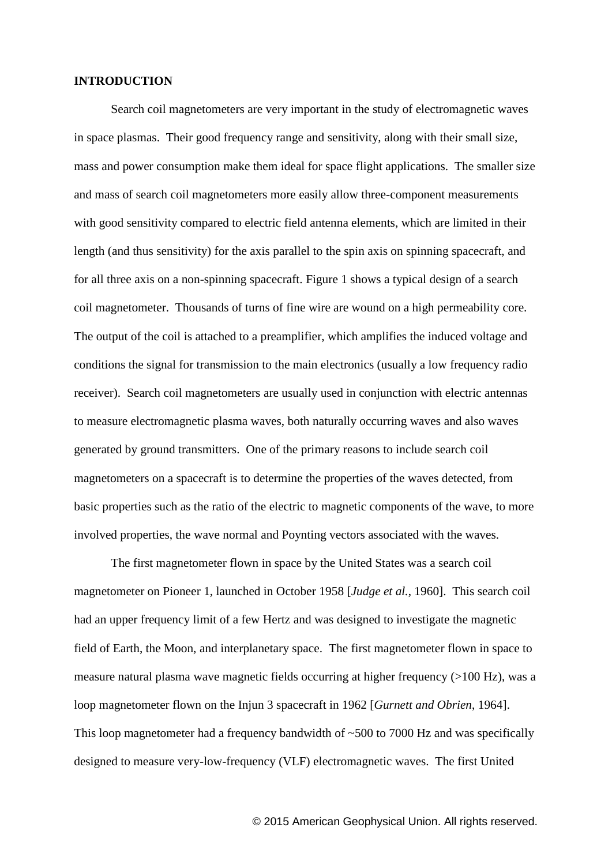### **INTRODUCTION**

Search coil magnetometers are very important in the study of electromagnetic waves in space plasmas. Their good frequency range and sensitivity, along with their small size, mass and power consumption make them ideal for space flight applications. The smaller size and mass of search coil magnetometers more easily allow three-component measurements with good sensitivity compared to electric field antenna elements, which are limited in their length (and thus sensitivity) for the axis parallel to the spin axis on spinning spacecraft, and for all three axis on a non-spinning spacecraft. Figure 1 shows a typical design of a search coil magnetometer. Thousands of turns of fine wire are wound on a high permeability core. The output of the coil is attached to a preamplifier, which amplifies the induced voltage and conditions the signal for transmission to the main electronics (usually a low frequency radio receiver). Search coil magnetometers are usually used in conjunction with electric antennas to measure electromagnetic plasma waves, both naturally occurring waves and also waves generated by ground transmitters. One of the primary reasons to include search coil magnetometers on a spacecraft is to determine the properties of the waves detected, from basic properties such as the ratio of the electric to magnetic components of the wave, to more involved properties, the wave normal and Poynting vectors associated with the waves.

The first magnetometer flown in space by the United States was a search coil magnetometer on Pioneer 1, launched in October 1958 [*Judge et al.*, 1960]. This search coil had an upper frequency limit of a few Hertz and was designed to investigate the magnetic field of Earth, the Moon, and interplanetary space. The first magnetometer flown in space to measure natural plasma wave magnetic fields occurring at higher frequency (>100 Hz), was a loop magnetometer flown on the Injun 3 spacecraft in 1962 [*Gurnett and Obrien*, 1964]. This loop magnetometer had a frequency bandwidth of  $~500$  to 7000 Hz and was specifically designed to measure very-low-frequency (VLF) electromagnetic waves. The first United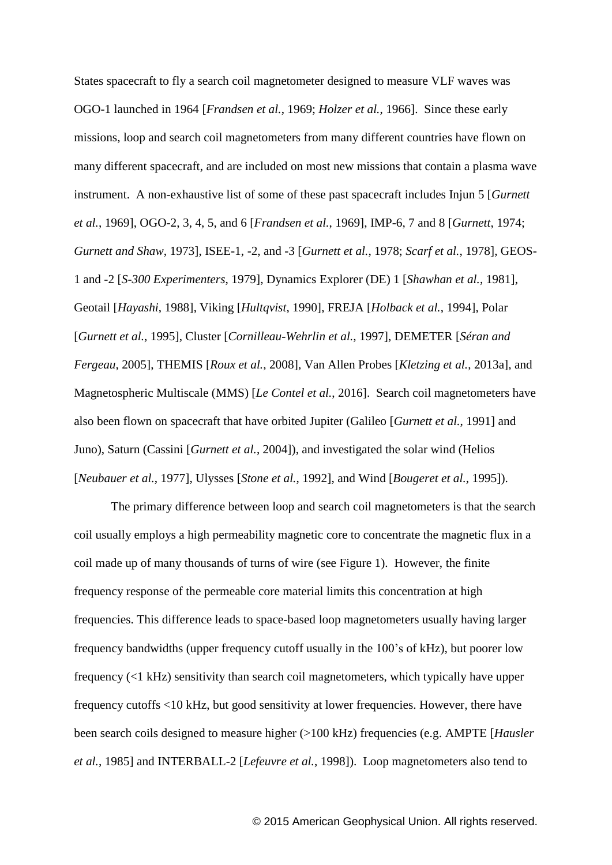States spacecraft to fly a search coil magnetometer designed to measure VLF waves was OGO-1 launched in 1964 [*Frandsen et al.*, 1969; *Holzer et al.*, 1966]. Since these early missions, loop and search coil magnetometers from many different countries have flown on many different spacecraft, and are included on most new missions that contain a plasma wave instrument. A non-exhaustive list of some of these past spacecraft includes Injun 5 [*Gurnett et al.*, 1969], OGO-2, 3, 4, 5, and 6 [*Frandsen et al.*, 1969], IMP-6, 7 and 8 [*Gurnett*, 1974; *Gurnett and Shaw*, 1973], ISEE-1, -2, and -3 [*Gurnett et al.*, 1978; *Scarf et al.*, 1978], GEOS-1 and -2 [*S-300 Experimenters*, 1979], Dynamics Explorer (DE) 1 [*Shawhan et al.*, 1981], Geotail [*Hayashi*, 1988], Viking [*Hultqvist*, 1990], FREJA [*Holback et al.*, 1994], Polar [*Gurnett et al.*, 1995], Cluster [*Cornilleau-Wehrlin et al.*, 1997], DEMETER [*Séran and Fergeau*, 2005], THEMIS [*Roux et al.*, 2008], Van Allen Probes [*Kletzing et al.*, 2013a], and Magnetospheric Multiscale (MMS) [*Le Contel et al.*, 2016]. Search coil magnetometers have also been flown on spacecraft that have orbited Jupiter (Galileo [*Gurnett et al.*, 1991] and Juno), Saturn (Cassini [*Gurnett et al.*, 2004]), and investigated the solar wind (Helios [*Neubauer et al.*, 1977], Ulysses [*Stone et al.*, 1992], and Wind [*Bougeret et al.*, 1995]).

The primary difference between loop and search coil magnetometers is that the search coil usually employs a high permeability magnetic core to concentrate the magnetic flux in a coil made up of many thousands of turns of wire (see Figure 1). However, the finite frequency response of the permeable core material limits this concentration at high frequencies. This difference leads to space-based loop magnetometers usually having larger frequency bandwidths (upper frequency cutoff usually in the 100's of kHz), but poorer low frequency (<1 kHz) sensitivity than search coil magnetometers, which typically have upper frequency cutoffs <10 kHz, but good sensitivity at lower frequencies. However, there have been search coils designed to measure higher (>100 kHz) frequencies (e.g. AMPTE [*Hausler et al.*, 1985] and INTERBALL-2 [*Lefeuvre et al.*, 1998]). Loop magnetometers also tend to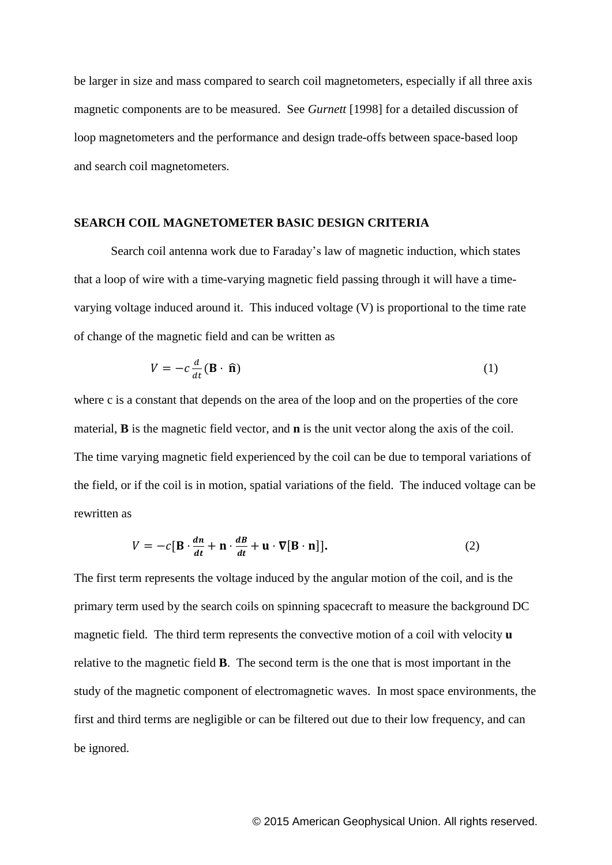be larger in size and mass compared to search coil magnetometers, especially if all three axis magnetic components are to be measured. See *Gurnett* [1998] for a detailed discussion of loop magnetometers and the performance and design trade-offs between space-based loop and search coil magnetometers.

### **SEARCH COIL MAGNETOMETER BASIC DESIGN CRITERIA**

Search coil antenna work due to Faraday's law of magnetic induction, which states that a loop of wire with a time-varying magnetic field passing through it will have a timevarying voltage induced around it. This induced voltage (V) is proportional to the time rate of change of the magnetic field and can be written as

$$
V = -c \frac{d}{dt} (\mathbf{B} \cdot \hat{\mathbf{n}})
$$
 (1)

where c is a constant that depends on the area of the loop and on the properties of the core material, **B** is the magnetic field vector, and **n** is the unit vector along the axis of the coil. The time varying magnetic field experienced by the coil can be due to temporal variations of the field, or if the coil is in motion, spatial variations of the field. The induced voltage can be rewritten as

$$
V = -c[\mathbf{B} \cdot \frac{dn}{dt} + \mathbf{n} \cdot \frac{dB}{dt} + \mathbf{u} \cdot \nabla[\mathbf{B} \cdot \mathbf{n}]]. \tag{2}
$$

The first term represents the voltage induced by the angular motion of the coil, and is the primary term used by the search coils on spinning spacecraft to measure the background DC magnetic field. The third term represents the convective motion of a coil with velocity **u** relative to the magnetic field **B**. The second term is the one that is most important in the study of the magnetic component of electromagnetic waves. In most space environments, the first and third terms are negligible or can be filtered out due to their low frequency, and can be ignored.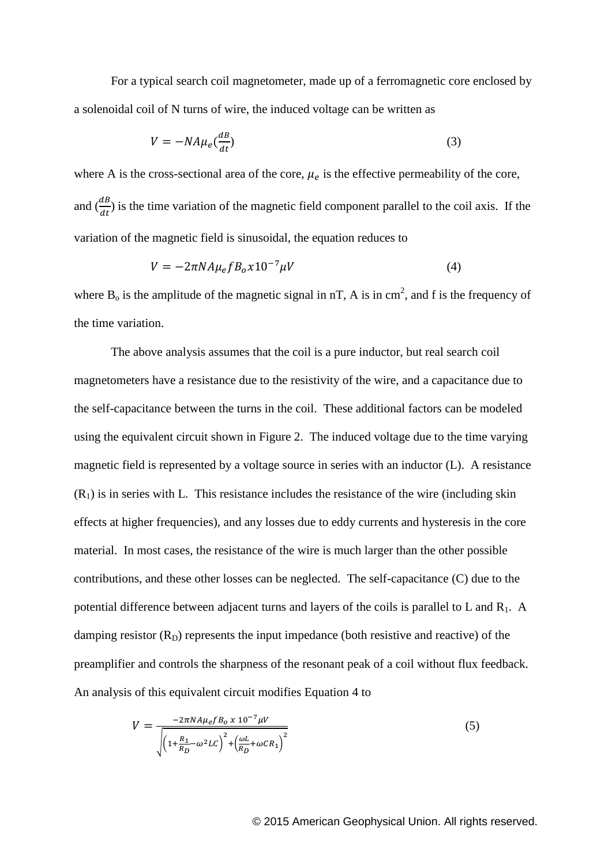For a typical search coil magnetometer, made up of a ferromagnetic core enclosed by a solenoidal coil of N turns of wire, the induced voltage can be written as

$$
V = -NA\mu_e \left(\frac{dB}{dt}\right) \tag{3}
$$

where A is the cross-sectional area of the core,  $\mu_e$  is the effective permeability of the core, and  $\left(\frac{d}{dx}\right)$  $\frac{dE}{dt}$ ) is the time variation of the magnetic field component parallel to the coil axis. If the variation of the magnetic field is sinusoidal, the equation reduces to

$$
V = -2\pi N A \mu_e f B_o x 10^{-7} \mu V \tag{4}
$$

where  $B_0$  is the amplitude of the magnetic signal in nT, A is in cm<sup>2</sup>, and f is the frequency of the time variation.

The above analysis assumes that the coil is a pure inductor, but real search coil magnetometers have a resistance due to the resistivity of the wire, and a capacitance due to the self-capacitance between the turns in the coil. These additional factors can be modeled using the equivalent circuit shown in Figure 2. The induced voltage due to the time varying magnetic field is represented by a voltage source in series with an inductor (L). A resistance  $(R<sub>1</sub>)$  is in series with L. This resistance includes the resistance of the wire (including skin effects at higher frequencies), and any losses due to eddy currents and hysteresis in the core material. In most cases, the resistance of the wire is much larger than the other possible contributions, and these other losses can be neglected. The self-capacitance (C) due to the potential difference between adjacent turns and layers of the coils is parallel to  $L$  and  $R_1$ . A damping resistor  $(R_D)$  represents the input impedance (both resistive and reactive) of the preamplifier and controls the sharpness of the resonant peak of a coil without flux feedback. An analysis of this equivalent circuit modifies Equation 4 to

$$
V = \frac{-2\pi N A \mu_e f B_0 \times 10^{-7} \mu V}{\sqrt{\left(1 + \frac{R_1}{R_D} - \omega^2 L C\right)^2 + \left(\frac{\omega L}{R_D} + \omega C R_1\right)^2}}
$$
(5)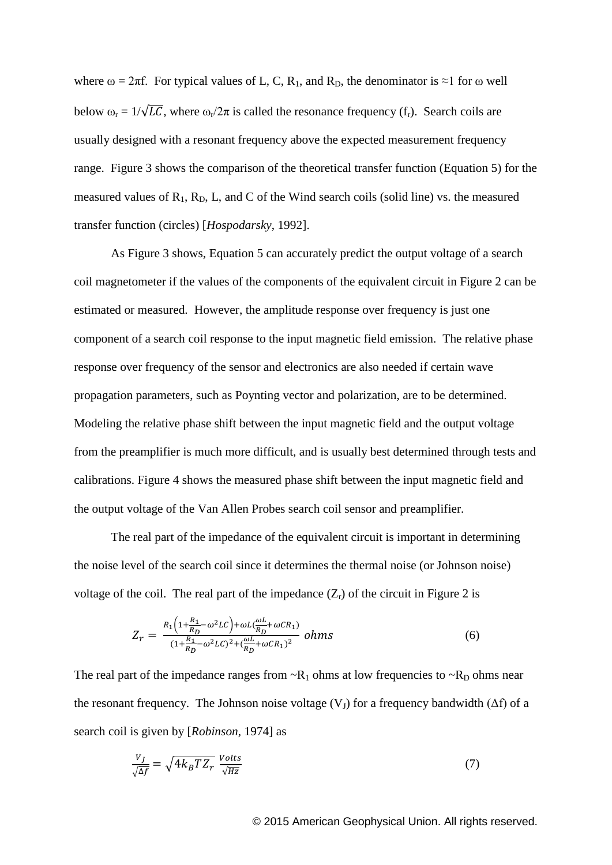where  $\omega = 2\pi f$ . For typical values of L, C, R<sub>1</sub>, and R<sub>D</sub>, the denominator is ≈1 for  $\omega$  well below  $\omega_r = 1/\sqrt{LC}$ , where  $\omega_r/2\pi$  is called the resonance frequency (f<sub>r</sub>). Search coils are usually designed with a resonant frequency above the expected measurement frequency range. Figure 3 shows the comparison of the theoretical transfer function (Equation 5) for the measured values of  $R_1$ ,  $R_D$ ,  $L$ , and  $C$  of the Wind search coils (solid line) vs. the measured transfer function (circles) [*Hospodarsky*, 1992].

As Figure 3 shows, Equation 5 can accurately predict the output voltage of a search coil magnetometer if the values of the components of the equivalent circuit in Figure 2 can be estimated or measured. However, the amplitude response over frequency is just one component of a search coil response to the input magnetic field emission. The relative phase response over frequency of the sensor and electronics are also needed if certain wave propagation parameters, such as Poynting vector and polarization, are to be determined. Modeling the relative phase shift between the input magnetic field and the output voltage from the preamplifier is much more difficult, and is usually best determined through tests and calibrations. Figure 4 shows the measured phase shift between the input magnetic field and the output voltage of the Van Allen Probes search coil sensor and preamplifier.

The real part of the impedance of the equivalent circuit is important in determining the noise level of the search coil since it determines the thermal noise (or Johnson noise) voltage of the coil. The real part of the impedance  $(Z_r)$  of the circuit in Figure 2 is

$$
Z_r = \frac{R_1 \left(1 + \frac{R_1}{R_D} - \omega^2 L C\right) + \omega L (\frac{\omega L}{R_D} + \omega C R_1)}{(1 + \frac{R_1}{R_D} - \omega^2 L C)^2 + (\frac{\omega L}{R_D} + \omega C R_1)^2} \text{ ohms}
$$
(6)

The real part of the impedance ranges from  $-R_1$  ohms at low frequencies to  $-R_D$  ohms near the resonant frequency. The Johnson noise voltage  $(V<sub>1</sub>)$  for a frequency bandwidth ( $\Delta f$ ) of a search coil is given by [*Robinson*, 1974] as

$$
\frac{V_J}{\sqrt{\Delta f}} = \sqrt{4k_B T Z_r} \frac{Volts}{\sqrt{Hz}}\tag{7}
$$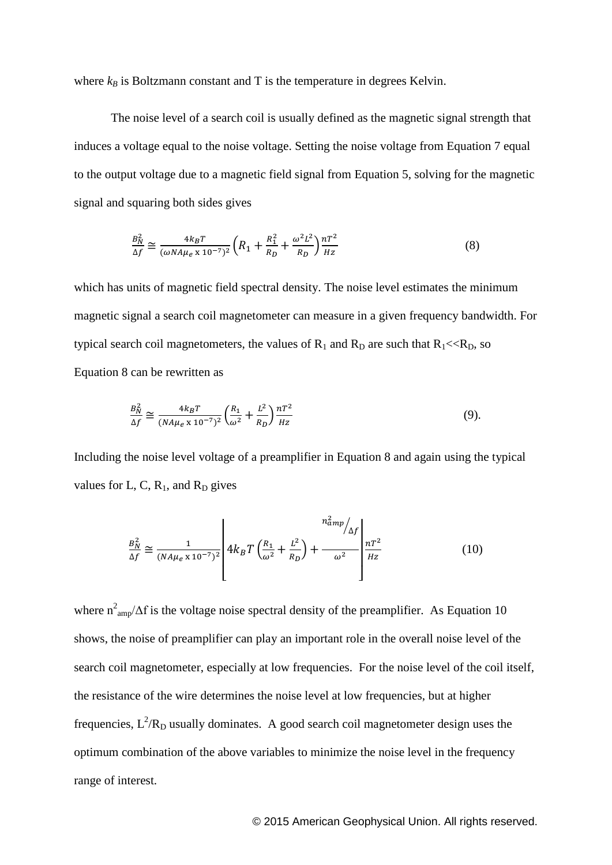where  $k_B$  is Boltzmann constant and T is the temperature in degrees Kelvin.

The noise level of a search coil is usually defined as the magnetic signal strength that induces a voltage equal to the noise voltage. Setting the noise voltage from Equation 7 equal to the output voltage due to a magnetic field signal from Equation 5, solving for the magnetic signal and squaring both sides gives

$$
\frac{B_N^2}{\Delta f} \cong \frac{4k_B T}{(\omega N A \mu_e \times 10^{-7})^2} \left( R_1 + \frac{R_1^2}{R_D} + \frac{\omega^2 L^2}{R_D} \right) \frac{nT^2}{Hz}
$$
(8)

which has units of magnetic field spectral density. The noise level estimates the minimum magnetic signal a search coil magnetometer can measure in a given frequency bandwidth. For typical search coil magnetometers, the values of  $R_1$  and  $R_D$  are such that  $R_1 \ll R_D$ , so Equation 8 can be rewritten as

$$
\frac{B_N^2}{\Delta f} \cong \frac{4k_B T}{(NA\mu_e \times 10^{-7})^2} \left(\frac{R_1}{\omega^2} + \frac{L^2}{R_D}\right) \frac{nT^2}{Hz}
$$
(9).

Including the noise level voltage of a preamplifier in Equation 8 and again using the typical values for L, C,  $R_1$ , and  $R_D$  gives

$$
\frac{B_N^2}{\Delta f} \cong \frac{1}{(NA\mu_e \times 10^{-7})^2} \left[ 4k_B T \left( \frac{R_1}{\omega^2} + \frac{L^2}{R_D} \right) + \frac{n_{amp}^2}{\omega^2} \right] \frac{nT^2}{Hz}
$$
(10)

where  $n^2_{\text{amp}}/\Delta f$  is the voltage noise spectral density of the preamplifier. As Equation 10 shows, the noise of preamplifier can play an important role in the overall noise level of the search coil magnetometer, especially at low frequencies. For the noise level of the coil itself, the resistance of the wire determines the noise level at low frequencies, but at higher frequencies,  $L^2/R_D$  usually dominates. A good search coil magnetometer design uses the optimum combination of the above variables to minimize the noise level in the frequency range of interest.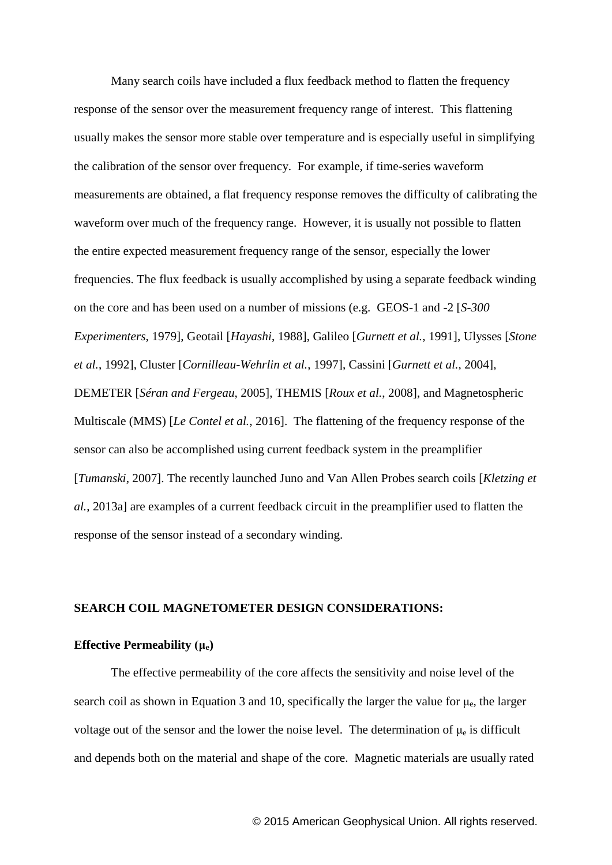Many search coils have included a flux feedback method to flatten the frequency response of the sensor over the measurement frequency range of interest. This flattening usually makes the sensor more stable over temperature and is especially useful in simplifying the calibration of the sensor over frequency. For example, if time-series waveform measurements are obtained, a flat frequency response removes the difficulty of calibrating the waveform over much of the frequency range. However, it is usually not possible to flatten the entire expected measurement frequency range of the sensor, especially the lower frequencies. The flux feedback is usually accomplished by using a separate feedback winding on the core and has been used on a number of missions (e.g. GEOS-1 and -2 [*S-300 Experimenters*, 1979], Geotail [*Hayashi*, 1988], Galileo [*Gurnett et al.*, 1991], Ulysses [*Stone et al.*, 1992], Cluster [*Cornilleau-Wehrlin et al.*, 1997], Cassini [*Gurnett et al.*, 2004], DEMETER [*Séran and Fergeau*, 2005], THEMIS [*Roux et al.*, 2008], and Magnetospheric Multiscale (MMS) [*Le Contel et al.*, 2016]. The flattening of the frequency response of the sensor can also be accomplished using current feedback system in the preamplifier [*Tumanski*, 2007]. The recently launched Juno and Van Allen Probes search coils [*Kletzing et al.*, 2013a] are examples of a current feedback circuit in the preamplifier used to flatten the response of the sensor instead of a secondary winding.

### **SEARCH COIL MAGNETOMETER DESIGN CONSIDERATIONS:**

#### **Effective Permeability (μe)**

The effective permeability of the core affects the sensitivity and noise level of the search coil as shown in Equation 3 and 10, specifically the larger the value for  $\mu_e$ , the larger voltage out of the sensor and the lower the noise level. The determination of  $\mu_e$  is difficult and depends both on the material and shape of the core. Magnetic materials are usually rated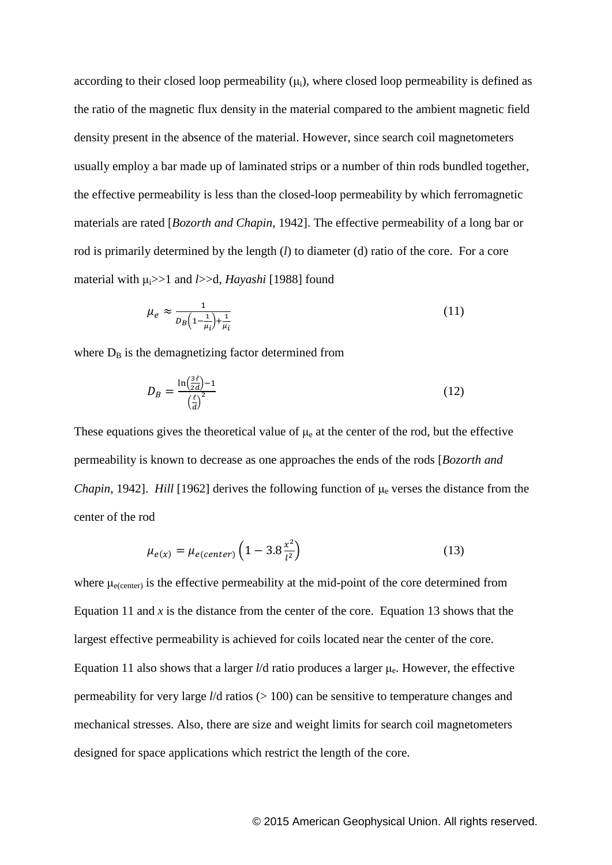according to their closed loop permeability  $(\mu_i)$ , where closed loop permeability is defined as the ratio of the magnetic flux density in the material compared to the ambient magnetic field density present in the absence of the material. However, since search coil magnetometers usually employ a bar made up of laminated strips or a number of thin rods bundled together, the effective permeability is less than the closed-loop permeability by which ferromagnetic materials are rated [*Bozorth and Chapin*, 1942]. The effective permeability of a long bar or rod is primarily determined by the length (*l*) to diameter (d) ratio of the core. For a core material with μi>>1 and *l*>>d, *Hayashi* [1988] found

$$
\mu_e \approx \frac{1}{D_B \left(1 - \frac{1}{\mu_i}\right) + \frac{1}{\mu_i}}\tag{11}
$$

where  $D_B$  is the demagnetizing factor determined from

$$
D_B = \frac{\ln(\frac{3\ell}{2d}) - 1}{(\frac{\ell}{d})^2} \tag{12}
$$

These equations gives the theoretical value of  $\mu_e$  at the center of the rod, but the effective permeability is known to decrease as one approaches the ends of the rods [*Bozorth and Chapin*, 1942]. *Hill* [1962] derives the following function of  $\mu_e$  verses the distance from the center of the rod

$$
\mu_{e(x)} = \mu_{e(center)} \left( 1 - 3.8 \frac{x^2}{l^2} \right)
$$
\n(13)

where  $\mu_{e(center)}$  is the effective permeability at the mid-point of the core determined from Equation 11 and  $x$  is the distance from the center of the core. Equation 13 shows that the largest effective permeability is achieved for coils located near the center of the core. Equation 11 also shows that a larger *l*/d ratio produces a larger μe. However, the effective permeability for very large *l*/d ratios (> 100) can be sensitive to temperature changes and mechanical stresses. Also, there are size and weight limits for search coil magnetometers designed for space applications which restrict the length of the core.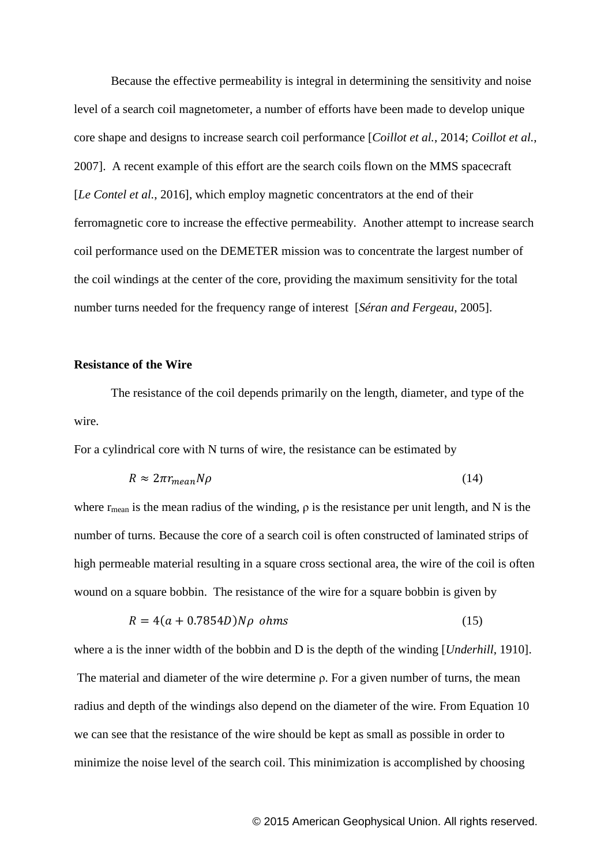Because the effective permeability is integral in determining the sensitivity and noise level of a search coil magnetometer, a number of efforts have been made to develop unique core shape and designs to increase search coil performance [*Coillot et al.*, 2014; *Coillot et al.*, 2007]. A recent example of this effort are the search coils flown on the MMS spacecraft [*Le Contel et al.*, 2016], which employ magnetic concentrators at the end of their ferromagnetic core to increase the effective permeability. Another attempt to increase search coil performance used on the DEMETER mission was to concentrate the largest number of the coil windings at the center of the core, providing the maximum sensitivity for the total number turns needed for the frequency range of interest [*Séran and Fergeau*, 2005].

### **Resistance of the Wire**

The resistance of the coil depends primarily on the length, diameter, and type of the wire.

For a cylindrical core with N turns of wire, the resistance can be estimated by

$$
R \approx 2\pi r_{mean} N \rho \tag{14}
$$

where  $r_{\text{mean}}$  is the mean radius of the winding,  $\rho$  is the resistance per unit length, and N is the number of turns. Because the core of a search coil is often constructed of laminated strips of high permeable material resulting in a square cross sectional area, the wire of the coil is often wound on a square bobbin. The resistance of the wire for a square bobbin is given by

$$
R = 4(a + 0.7854D)N\rho \text{ ohms}
$$
\n
$$
(15)
$$

where a is the inner width of the bobbin and D is the depth of the winding [*Underhill*, 1910].

The material and diameter of the wire determine ρ. For a given number of turns, the mean radius and depth of the windings also depend on the diameter of the wire. From Equation 10 we can see that the resistance of the wire should be kept as small as possible in order to minimize the noise level of the search coil. This minimization is accomplished by choosing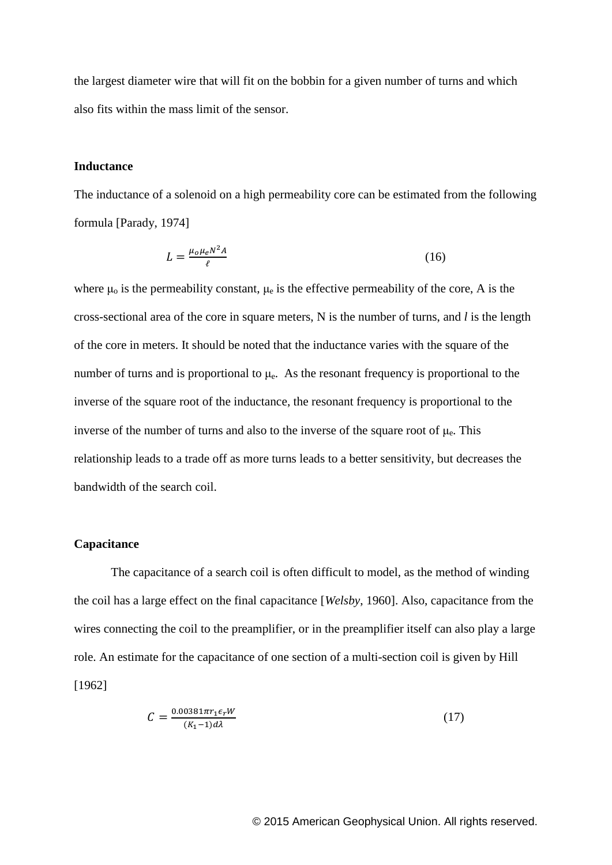the largest diameter wire that will fit on the bobbin for a given number of turns and which also fits within the mass limit of the sensor.

## **Inductance**

The inductance of a solenoid on a high permeability core can be estimated from the following formula [Parady, 1974]

$$
L = \frac{\mu_0 \mu_e N^2 A}{\ell} \tag{16}
$$

where  $\mu_0$  is the permeability constant,  $\mu_e$  is the effective permeability of the core, A is the cross-sectional area of the core in square meters, N is the number of turns, and *l* is the length of the core in meters. It should be noted that the inductance varies with the square of the number of turns and is proportional to  $\mu_e$ . As the resonant frequency is proportional to the inverse of the square root of the inductance, the resonant frequency is proportional to the inverse of the number of turns and also to the inverse of the square root of  $\mu_e$ . This relationship leads to a trade off as more turns leads to a better sensitivity, but decreases the bandwidth of the search coil.

#### **Capacitance**

The capacitance of a search coil is often difficult to model, as the method of winding the coil has a large effect on the final capacitance [*Welsby*, 1960]. Also, capacitance from the wires connecting the coil to the preamplifier, or in the preamplifier itself can also play a large role. An estimate for the capacitance of one section of a multi-section coil is given by Hill [1962]

$$
C = \frac{0.00381\pi r_1 \epsilon_r W}{(K_1 - 1)d\lambda} \tag{17}
$$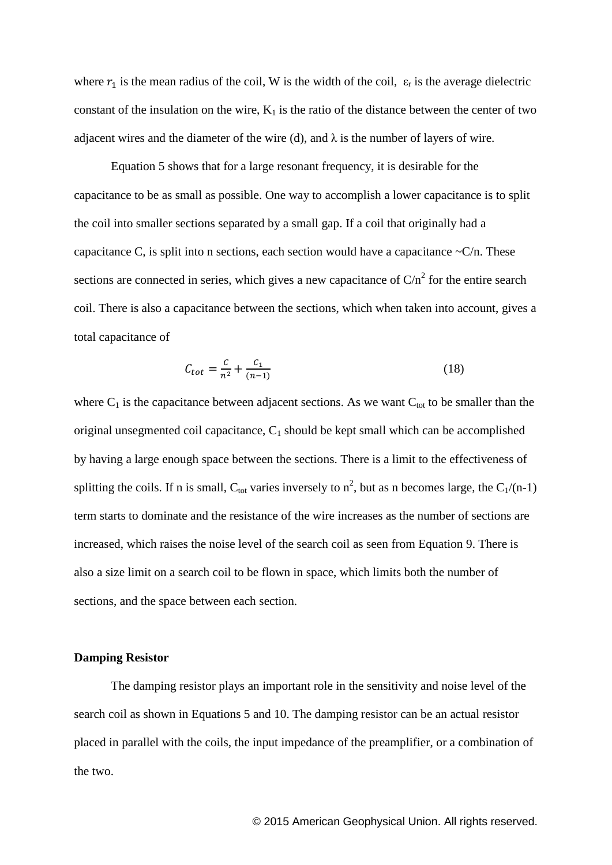where  $r_1$  is the mean radius of the coil, W is the width of the coil,  $\varepsilon_r$  is the average dielectric constant of the insulation on the wire,  $K_1$  is the ratio of the distance between the center of two adjacent wires and the diameter of the wire (d), and  $\lambda$  is the number of layers of wire.

Equation 5 shows that for a large resonant frequency, it is desirable for the capacitance to be as small as possible. One way to accomplish a lower capacitance is to split the coil into smaller sections separated by a small gap. If a coil that originally had a capacitance C, is split into n sections, each section would have a capacitance  $\sim$ C/n. These sections are connected in series, which gives a new capacitance of  $C/n<sup>2</sup>$  for the entire search coil. There is also a capacitance between the sections, which when taken into account, gives a total capacitance of

$$
C_{tot} = \frac{c}{n^2} + \frac{c_1}{(n-1)}
$$
\n(18)

where  $C_1$  is the capacitance between adjacent sections. As we want  $C_{tot}$  to be smaller than the original unsegmented coil capacitance,  $C_1$  should be kept small which can be accomplished by having a large enough space between the sections. There is a limit to the effectiveness of splitting the coils. If n is small,  $C_{\text{tot}}$  varies inversely to  $n^2$ , but as n becomes large, the  $C_1/(n-1)$ term starts to dominate and the resistance of the wire increases as the number of sections are increased, which raises the noise level of the search coil as seen from Equation 9. There is also a size limit on a search coil to be flown in space, which limits both the number of sections, and the space between each section.

#### **Damping Resistor**

The damping resistor plays an important role in the sensitivity and noise level of the search coil as shown in Equations 5 and 10. The damping resistor can be an actual resistor placed in parallel with the coils, the input impedance of the preamplifier, or a combination of the two.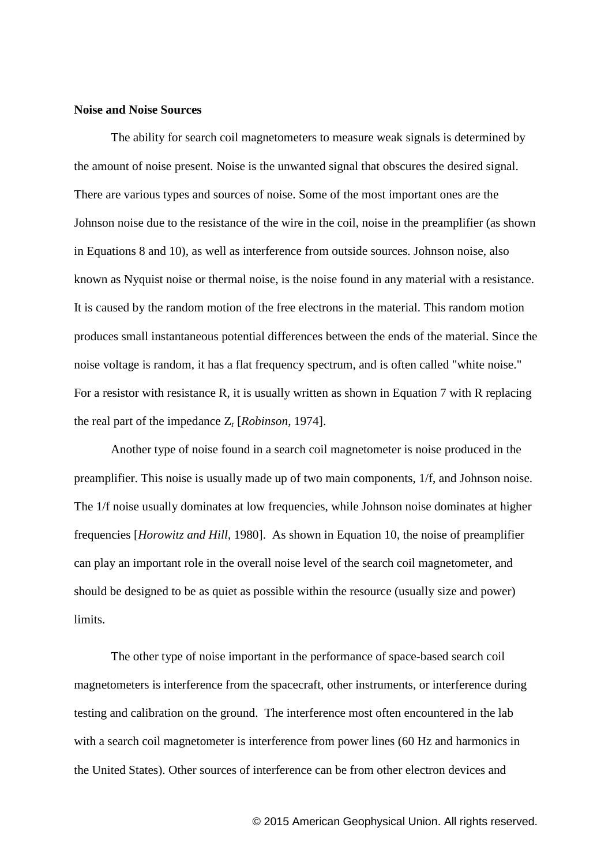#### **Noise and Noise Sources**

The ability for search coil magnetometers to measure weak signals is determined by the amount of noise present. Noise is the unwanted signal that obscures the desired signal. There are various types and sources of noise. Some of the most important ones are the Johnson noise due to the resistance of the wire in the coil, noise in the preamplifier (as shown in Equations 8 and 10), as well as interference from outside sources. Johnson noise, also known as Nyquist noise or thermal noise, is the noise found in any material with a resistance. It is caused by the random motion of the free electrons in the material. This random motion produces small instantaneous potential differences between the ends of the material. Since the noise voltage is random, it has a flat frequency spectrum, and is often called "white noise." For a resistor with resistance R, it is usually written as shown in Equation 7 with R replacing the real part of the impedance Z<sup>r</sup> [*Robinson*, 1974].

Another type of noise found in a search coil magnetometer is noise produced in the preamplifier. This noise is usually made up of two main components, 1/f, and Johnson noise. The 1/f noise usually dominates at low frequencies, while Johnson noise dominates at higher frequencies [*Horowitz and Hill*, 1980]. As shown in Equation 10, the noise of preamplifier can play an important role in the overall noise level of the search coil magnetometer, and should be designed to be as quiet as possible within the resource (usually size and power) limits.

The other type of noise important in the performance of space-based search coil magnetometers is interference from the spacecraft, other instruments, or interference during testing and calibration on the ground. The interference most often encountered in the lab with a search coil magnetometer is interference from power lines (60 Hz and harmonics in the United States). Other sources of interference can be from other electron devices and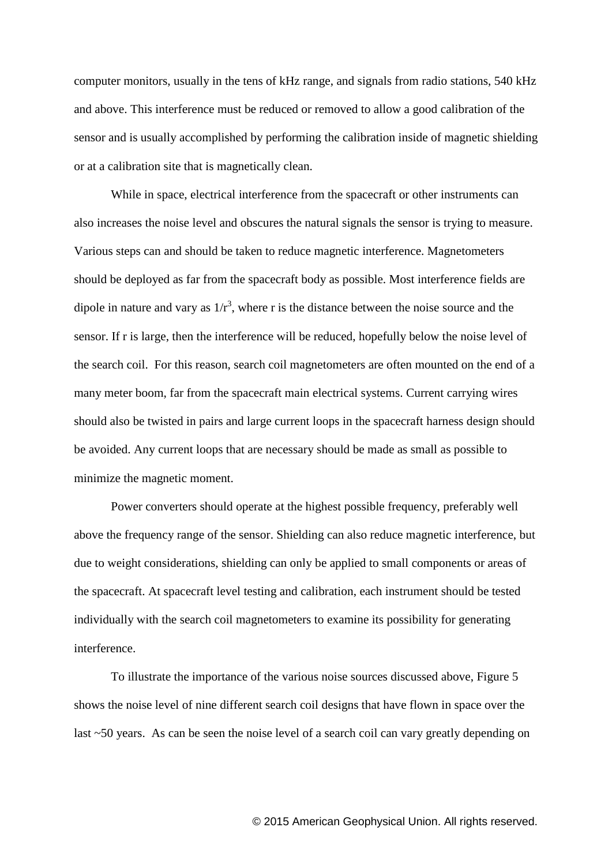computer monitors, usually in the tens of kHz range, and signals from radio stations, 540 kHz and above. This interference must be reduced or removed to allow a good calibration of the sensor and is usually accomplished by performing the calibration inside of magnetic shielding or at a calibration site that is magnetically clean.

While in space, electrical interference from the spacecraft or other instruments can also increases the noise level and obscures the natural signals the sensor is trying to measure. Various steps can and should be taken to reduce magnetic interference. Magnetometers should be deployed as far from the spacecraft body as possible. Most interference fields are dipole in nature and vary as  $1/r<sup>3</sup>$ , where r is the distance between the noise source and the sensor. If r is large, then the interference will be reduced, hopefully below the noise level of the search coil. For this reason, search coil magnetometers are often mounted on the end of a many meter boom, far from the spacecraft main electrical systems. Current carrying wires should also be twisted in pairs and large current loops in the spacecraft harness design should be avoided. Any current loops that are necessary should be made as small as possible to minimize the magnetic moment.

Power converters should operate at the highest possible frequency, preferably well above the frequency range of the sensor. Shielding can also reduce magnetic interference, but due to weight considerations, shielding can only be applied to small components or areas of the spacecraft. At spacecraft level testing and calibration, each instrument should be tested individually with the search coil magnetometers to examine its possibility for generating interference.

To illustrate the importance of the various noise sources discussed above, Figure 5 shows the noise level of nine different search coil designs that have flown in space over the last ~50 years. As can be seen the noise level of a search coil can vary greatly depending on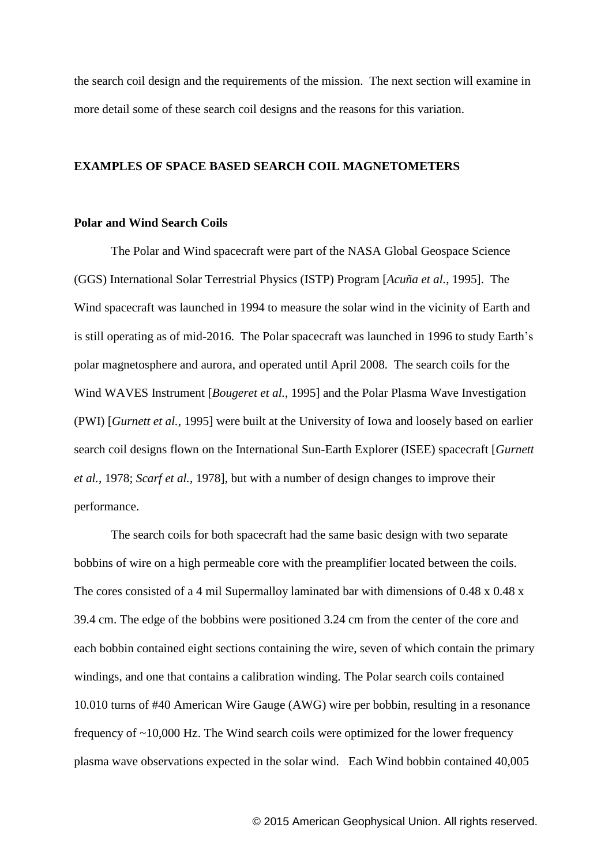the search coil design and the requirements of the mission. The next section will examine in more detail some of these search coil designs and the reasons for this variation.

## **EXAMPLES OF SPACE BASED SEARCH COIL MAGNETOMETERS**

### **Polar and Wind Search Coils**

The Polar and Wind spacecraft were part of the NASA Global Geospace Science (GGS) International Solar Terrestrial Physics (ISTP) Program [*Acuña et al.*, 1995]. The Wind spacecraft was launched in 1994 to measure the solar wind in the vicinity of Earth and is still operating as of mid-2016. The Polar spacecraft was launched in 1996 to study Earth's polar magnetosphere and aurora, and operated until April 2008. The search coils for the Wind WAVES Instrument [*Bougeret et al.*, 1995] and the Polar Plasma Wave Investigation (PWI) [*Gurnett et al.*, 1995] were built at the University of Iowa and loosely based on earlier search coil designs flown on the International Sun-Earth Explorer (ISEE) spacecraft [*Gurnett et al.*, 1978; *Scarf et al.*, 1978], but with a number of design changes to improve their performance.

The search coils for both spacecraft had the same basic design with two separate bobbins of wire on a high permeable core with the preamplifier located between the coils. The cores consisted of a 4 mil Supermalloy laminated bar with dimensions of 0.48 x 0.48 x 39.4 cm. The edge of the bobbins were positioned 3.24 cm from the center of the core and each bobbin contained eight sections containing the wire, seven of which contain the primary windings, and one that contains a calibration winding. The Polar search coils contained 10.010 turns of #40 American Wire Gauge (AWG) wire per bobbin, resulting in a resonance frequency of ~10,000 Hz. The Wind search coils were optimized for the lower frequency plasma wave observations expected in the solar wind. Each Wind bobbin contained 40,005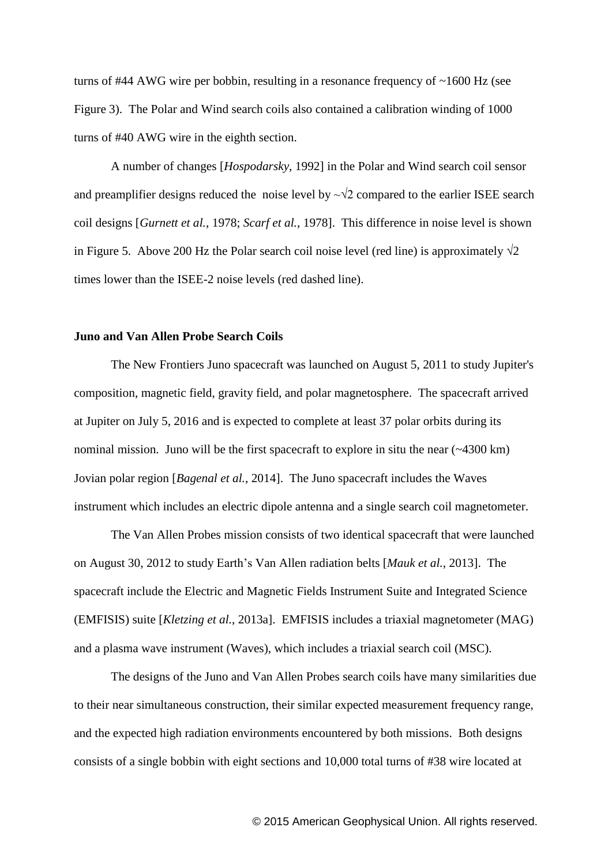turns of #44 AWG wire per bobbin, resulting in a resonance frequency of ~1600 Hz (see Figure 3). The Polar and Wind search coils also contained a calibration winding of 1000 turns of #40 AWG wire in the eighth section.

A number of changes [*Hospodarsky*, 1992] in the Polar and Wind search coil sensor and preamplifier designs reduced the noise level by  $\sim\sqrt{2}$  compared to the earlier ISEE search coil designs [*Gurnett et al.*, 1978; *Scarf et al.*, 1978]. This difference in noise level is shown in Figure 5. Above 200 Hz the Polar search coil noise level (red line) is approximately  $\sqrt{2}$ times lower than the ISEE-2 noise levels (red dashed line).

### **Juno and Van Allen Probe Search Coils**

The New Frontiers Juno spacecraft was launched on August 5, 2011 to study Jupiter's composition, magnetic field, gravity field, and polar magnetosphere. The spacecraft arrived at Jupiter on July 5, 2016 and is expected to complete at least 37 polar orbits during its nominal mission. Juno will be the first spacecraft to explore in situ the near  $(-4300 \text{ km})$ Jovian polar region [*Bagenal et al.*, 2014]. The Juno spacecraft includes the Waves instrument which includes an electric dipole antenna and a single search coil magnetometer.

The Van Allen Probes mission consists of two identical spacecraft that were launched on August 30, 2012 to study Earth's Van Allen radiation belts [*Mauk et al.*, 2013]. The spacecraft include the Electric and Magnetic Fields Instrument Suite and Integrated Science (EMFISIS) suite [*Kletzing et al.*, 2013a]. EMFISIS includes a triaxial magnetometer (MAG) and a plasma wave instrument (Waves), which includes a triaxial search coil (MSC).

The designs of the Juno and Van Allen Probes search coils have many similarities due to their near simultaneous construction, their similar expected measurement frequency range, and the expected high radiation environments encountered by both missions. Both designs consists of a single bobbin with eight sections and 10,000 total turns of #38 wire located at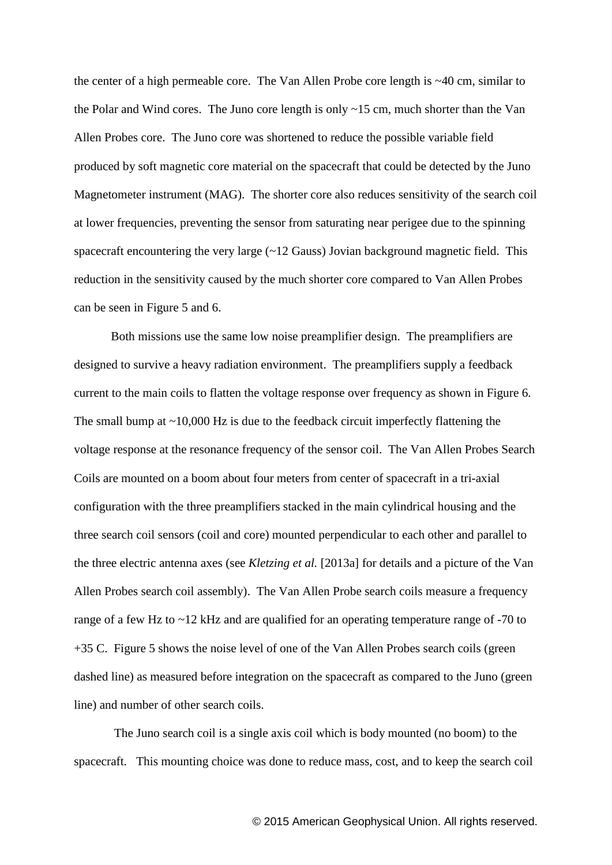the center of a high permeable core. The Van Allen Probe core length is ~40 cm, similar to the Polar and Wind cores. The Juno core length is only ~15 cm, much shorter than the Van Allen Probes core. The Juno core was shortened to reduce the possible variable field produced by soft magnetic core material on the spacecraft that could be detected by the Juno Magnetometer instrument (MAG). The shorter core also reduces sensitivity of the search coil at lower frequencies, preventing the sensor from saturating near perigee due to the spinning spacecraft encountering the very large  $(\sim 12 \text{ Gauss})$  Jovian background magnetic field. This reduction in the sensitivity caused by the much shorter core compared to Van Allen Probes can be seen in Figure 5 and 6.

Both missions use the same low noise preamplifier design. The preamplifiers are designed to survive a heavy radiation environment. The preamplifiers supply a feedback current to the main coils to flatten the voltage response over frequency as shown in Figure 6. The small bump at  $\sim$ 10,000 Hz is due to the feedback circuit imperfectly flattening the voltage response at the resonance frequency of the sensor coil. The Van Allen Probes Search Coils are mounted on a boom about four meters from center of spacecraft in a tri-axial configuration with the three preamplifiers stacked in the main cylindrical housing and the three search coil sensors (coil and core) mounted perpendicular to each other and parallel to the three electric antenna axes (see *Kletzing et al.* [2013a] for details and a picture of the Van Allen Probes search coil assembly). The Van Allen Probe search coils measure a frequency range of a few Hz to ~12 kHz and are qualified for an operating temperature range of -70 to +35 C. Figure 5 shows the noise level of one of the Van Allen Probes search coils (green dashed line) as measured before integration on the spacecraft as compared to the Juno (green line) and number of other search coils.

The Juno search coil is a single axis coil which is body mounted (no boom) to the spacecraft. This mounting choice was done to reduce mass, cost, and to keep the search coil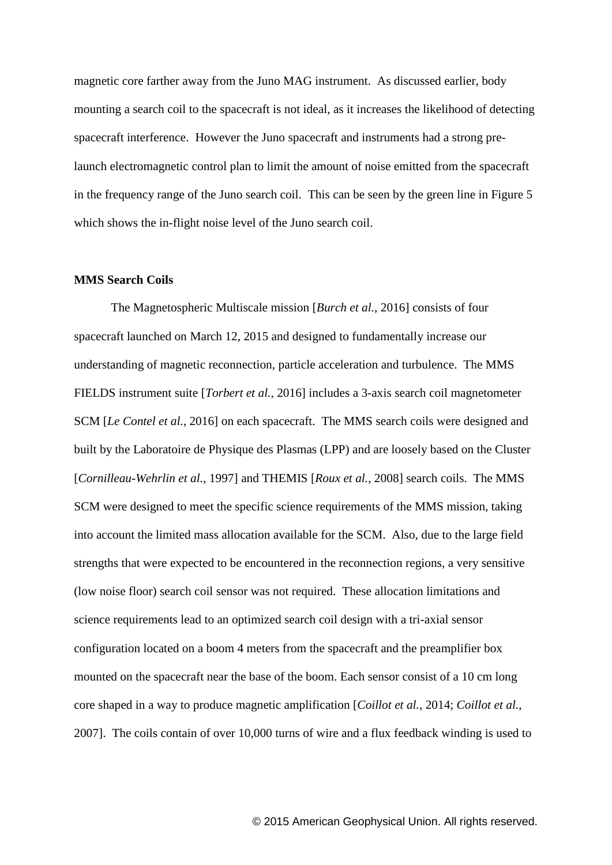magnetic core farther away from the Juno MAG instrument. As discussed earlier, body mounting a search coil to the spacecraft is not ideal, as it increases the likelihood of detecting spacecraft interference. However the Juno spacecraft and instruments had a strong prelaunch electromagnetic control plan to limit the amount of noise emitted from the spacecraft in the frequency range of the Juno search coil. This can be seen by the green line in Figure 5 which shows the in-flight noise level of the Juno search coil.

#### **MMS Search Coils**

The Magnetospheric Multiscale mission [*Burch et al.*, 2016] consists of four spacecraft launched on March 12, 2015 and designed to fundamentally increase our understanding of magnetic reconnection, particle acceleration and turbulence. The MMS FIELDS instrument suite [*Torbert et al.*, 2016] includes a 3-axis search coil magnetometer SCM [*Le Contel et al.*, 2016] on each spacecraft. The MMS search coils were designed and built by the Laboratoire de Physique des Plasmas (LPP) and are loosely based on the Cluster [*Cornilleau-Wehrlin et al.*, 1997] and THEMIS [*Roux et al.*, 2008] search coils. The MMS SCM were designed to meet the specific science requirements of the MMS mission, taking into account the limited mass allocation available for the SCM. Also, due to the large field strengths that were expected to be encountered in the reconnection regions, a very sensitive (low noise floor) search coil sensor was not required. These allocation limitations and science requirements lead to an optimized search coil design with a tri-axial sensor configuration located on a boom 4 meters from the spacecraft and the preamplifier box mounted on the spacecraft near the base of the boom. Each sensor consist of a 10 cm long core shaped in a way to produce magnetic amplification [*Coillot et al.*, 2014; *Coillot et al.*, 2007]. The coils contain of over 10,000 turns of wire and a flux feedback winding is used to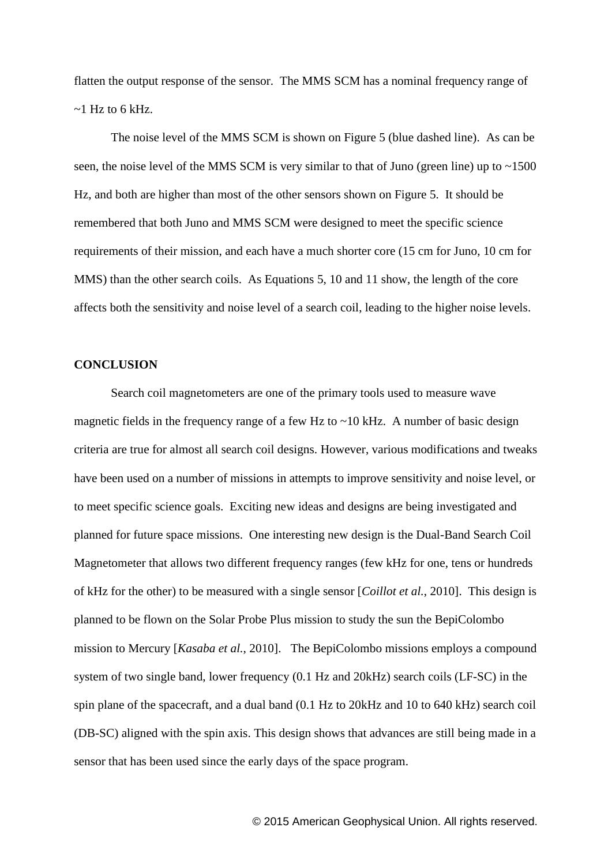flatten the output response of the sensor. The MMS SCM has a nominal frequency range of  $\sim$ 1 Hz to 6 kHz.

The noise level of the MMS SCM is shown on Figure 5 (blue dashed line). As can be seen, the noise level of the MMS SCM is very similar to that of Juno (green line) up to  $\sim$ 1500 Hz, and both are higher than most of the other sensors shown on Figure 5. It should be remembered that both Juno and MMS SCM were designed to meet the specific science requirements of their mission, and each have a much shorter core (15 cm for Juno, 10 cm for MMS) than the other search coils. As Equations 5, 10 and 11 show, the length of the core affects both the sensitivity and noise level of a search coil, leading to the higher noise levels.

### **CONCLUSION**

Search coil magnetometers are one of the primary tools used to measure wave magnetic fields in the frequency range of a few Hz to  $\sim$ 10 kHz. A number of basic design criteria are true for almost all search coil designs. However, various modifications and tweaks have been used on a number of missions in attempts to improve sensitivity and noise level, or to meet specific science goals. Exciting new ideas and designs are being investigated and planned for future space missions. One interesting new design is the Dual-Band Search Coil Magnetometer that allows two different frequency ranges (few kHz for one, tens or hundreds of kHz for the other) to be measured with a single sensor [*Coillot et al.*, 2010]. This design is planned to be flown on the Solar Probe Plus mission to study the sun the BepiColombo mission to Mercury [*Kasaba et al.*, 2010]. The BepiColombo missions employs a compound system of two single band, lower frequency (0.1 Hz and 20kHz) search coils (LF-SC) in the spin plane of the spacecraft, and a dual band (0.1 Hz to 20kHz and 10 to 640 kHz) search coil (DB-SC) aligned with the spin axis. This design shows that advances are still being made in a sensor that has been used since the early days of the space program.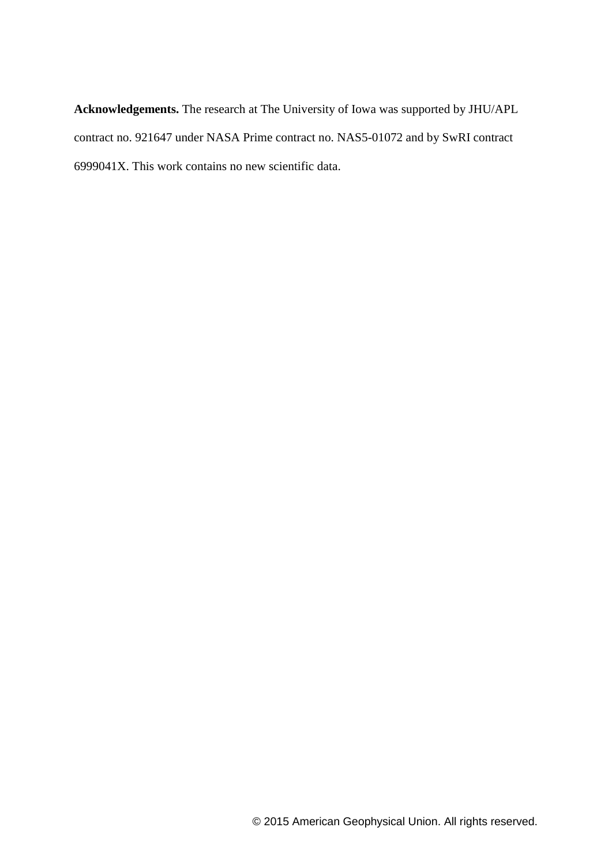**Acknowledgements.** The research at The University of Iowa was supported by JHU/APL contract no. 921647 under NASA Prime contract no. NAS5-01072 and by SwRI contract 6999041X. This work contains no new scientific data.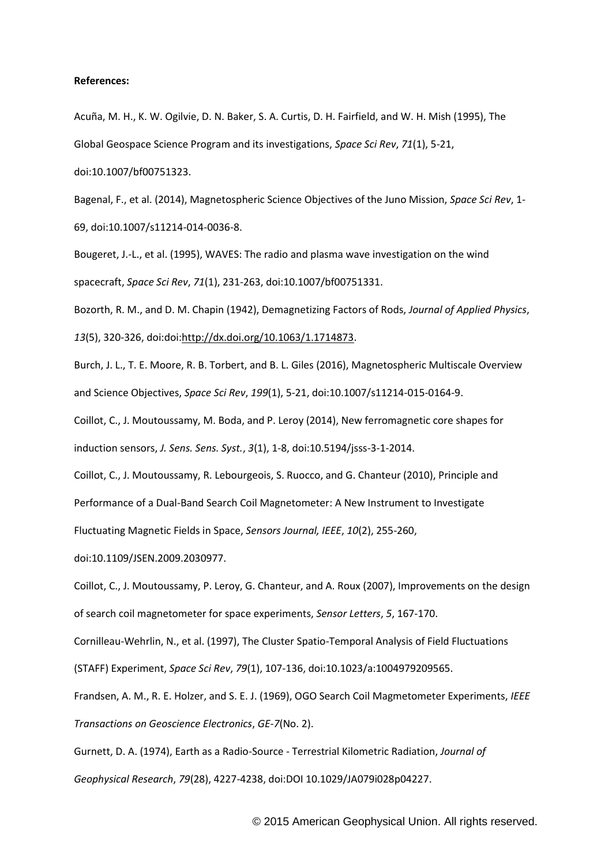#### **References:**

Acuña, M. H., K. W. Ogilvie, D. N. Baker, S. A. Curtis, D. H. Fairfield, and W. H. Mish (1995), The Global Geospace Science Program and its investigations, *Space Sci Rev*, *71*(1), 5-21, doi:10.1007/bf00751323.

Bagenal, F., et al. (2014), Magnetospheric Science Objectives of the Juno Mission, *Space Sci Rev*, 1- 69, doi:10.1007/s11214-014-0036-8.

Bougeret, J.-L., et al. (1995), WAVES: The radio and plasma wave investigation on the wind spacecraft, *Space Sci Rev*, *71*(1), 231-263, doi:10.1007/bf00751331.

Bozorth, R. M., and D. M. Chapin (1942), Demagnetizing Factors of Rods, *Journal of Applied Physics*,

*13*(5), 320-326, doi:doi[:http://dx.doi.org/10.1063/1.1714873.](http://dx.doi.org/10.1063/1.1714873)

Burch, J. L., T. E. Moore, R. B. Torbert, and B. L. Giles (2016), Magnetospheric Multiscale Overview and Science Objectives, *Space Sci Rev*, *199*(1), 5-21, doi:10.1007/s11214-015-0164-9.

Coillot, C., J. Moutoussamy, M. Boda, and P. Leroy (2014), New ferromagnetic core shapes for induction sensors, *J. Sens. Sens. Syst.*, *3*(1), 1-8, doi:10.5194/jsss-3-1-2014.

Coillot, C., J. Moutoussamy, R. Lebourgeois, S. Ruocco, and G. Chanteur (2010), Principle and

Performance of a Dual-Band Search Coil Magnetometer: A New Instrument to Investigate

Fluctuating Magnetic Fields in Space, *Sensors Journal, IEEE*, *10*(2), 255-260,

doi:10.1109/JSEN.2009.2030977.

Coillot, C., J. Moutoussamy, P. Leroy, G. Chanteur, and A. Roux (2007), Improvements on the design of search coil magnetometer for space experiments, *Sensor Letters*, *5*, 167-170.

Cornilleau-Wehrlin, N., et al. (1997), The Cluster Spatio-Temporal Analysis of Field Fluctuations

(STAFF) Experiment, *Space Sci Rev*, *79*(1), 107-136, doi:10.1023/a:1004979209565.

Frandsen, A. M., R. E. Holzer, and S. E. J. (1969), OGO Search Coil Magmetometer Experiments, *IEEE Transactions on Geoscience Electronics*, *GE-7*(No. 2).

Gurnett, D. A. (1974), Earth as a Radio-Source - Terrestrial Kilometric Radiation, *Journal of Geophysical Research*, *79*(28), 4227-4238, doi:DOI 10.1029/JA079i028p04227.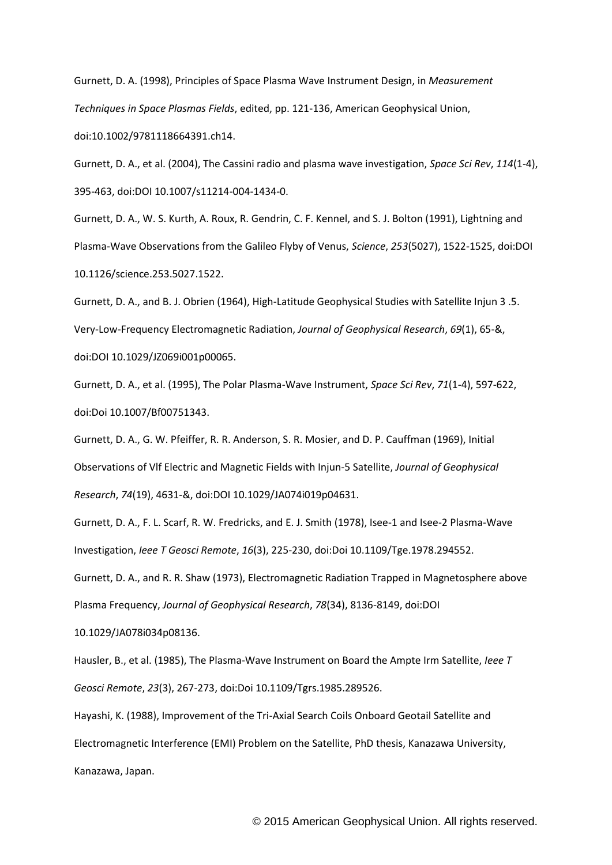Gurnett, D. A. (1998), Principles of Space Plasma Wave Instrument Design, in *Measurement Techniques in Space Plasmas Fields*, edited, pp. 121-136, American Geophysical Union, doi:10.1002/9781118664391.ch14.

Gurnett, D. A., et al. (2004), The Cassini radio and plasma wave investigation, *Space Sci Rev*, *114*(1-4), 395-463, doi:DOI 10.1007/s11214-004-1434-0.

Gurnett, D. A., W. S. Kurth, A. Roux, R. Gendrin, C. F. Kennel, and S. J. Bolton (1991), Lightning and Plasma-Wave Observations from the Galileo Flyby of Venus, *Science*, *253*(5027), 1522-1525, doi:DOI 10.1126/science.253.5027.1522.

Gurnett, D. A., and B. J. Obrien (1964), High-Latitude Geophysical Studies with Satellite Injun 3 .5. Very-Low-Frequency Electromagnetic Radiation, *Journal of Geophysical Research*, *69*(1), 65-&, doi:DOI 10.1029/JZ069i001p00065.

Gurnett, D. A., et al. (1995), The Polar Plasma-Wave Instrument, *Space Sci Rev*, *71*(1-4), 597-622, doi:Doi 10.1007/Bf00751343.

Gurnett, D. A., G. W. Pfeiffer, R. R. Anderson, S. R. Mosier, and D. P. Cauffman (1969), Initial Observations of Vlf Electric and Magnetic Fields with Injun-5 Satellite, *Journal of Geophysical Research*, *74*(19), 4631-&, doi:DOI 10.1029/JA074i019p04631.

Gurnett, D. A., F. L. Scarf, R. W. Fredricks, and E. J. Smith (1978), Isee-1 and Isee-2 Plasma-Wave Investigation, *Ieee T Geosci Remote*, *16*(3), 225-230, doi:Doi 10.1109/Tge.1978.294552.

Gurnett, D. A., and R. R. Shaw (1973), Electromagnetic Radiation Trapped in Magnetosphere above Plasma Frequency, *Journal of Geophysical Research*, *78*(34), 8136-8149, doi:DOI

10.1029/JA078i034p08136.

Hausler, B., et al. (1985), The Plasma-Wave Instrument on Board the Ampte Irm Satellite, *Ieee T Geosci Remote*, *23*(3), 267-273, doi:Doi 10.1109/Tgrs.1985.289526.

Hayashi, K. (1988), Improvement of the Tri-Axial Search Coils Onboard Geotail Satellite and Electromagnetic Interference (EMI) Problem on the Satellite, PhD thesis, Kanazawa University, Kanazawa, Japan.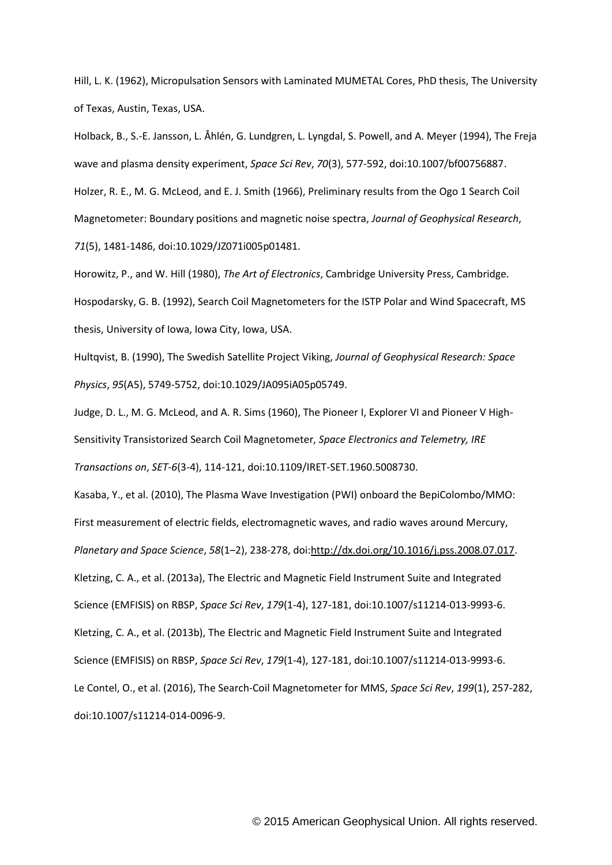Hill, L. K. (1962), Micropulsation Sensors with Laminated MUMETAL Cores, PhD thesis, The University of Texas, Austin, Texas, USA.

Holback, B., S.-E. Jansson, L. Åhlén, G. Lundgren, L. Lyngdal, S. Powell, and A. Meyer (1994), The Freja wave and plasma density experiment, *Space Sci Rev*, *70*(3), 577-592, doi:10.1007/bf00756887. Holzer, R. E., M. G. McLeod, and E. J. Smith (1966), Preliminary results from the Ogo 1 Search Coil Magnetometer: Boundary positions and magnetic noise spectra, *Journal of Geophysical Research*, *71*(5), 1481-1486, doi:10.1029/JZ071i005p01481.

Horowitz, P., and W. Hill (1980), *The Art of Electronics*, Cambridge University Press, Cambridge. Hospodarsky, G. B. (1992), Search Coil Magnetometers for the ISTP Polar and Wind Spacecraft, MS thesis, University of Iowa, Iowa City, Iowa, USA.

Hultqvist, B. (1990), The Swedish Satellite Project Viking, *Journal of Geophysical Research: Space Physics*, *95*(A5), 5749-5752, doi:10.1029/JA095iA05p05749.

Judge, D. L., M. G. McLeod, and A. R. Sims (1960), The Pioneer I, Explorer VI and Pioneer V High-Sensitivity Transistorized Search Coil Magnetometer, *Space Electronics and Telemetry, IRE Transactions on*, *SET-6*(3-4), 114-121, doi:10.1109/IRET-SET.1960.5008730.

Kasaba, Y., et al. (2010), The Plasma Wave Investigation (PWI) onboard the BepiColombo/MMO: First measurement of electric fields, electromagnetic waves, and radio waves around Mercury, *Planetary and Space Science*, *58*(1–2), 238-278, doi[:http://dx.doi.org/10.1016/j.pss.2008.07.017.](http://dx.doi.org/10.1016/j.pss.2008.07.017) Kletzing, C. A., et al. (2013a), The Electric and Magnetic Field Instrument Suite and Integrated Science (EMFISIS) on RBSP, *Space Sci Rev*, *179*(1-4), 127-181, doi:10.1007/s11214-013-9993-6. Kletzing, C. A., et al. (2013b), The Electric and Magnetic Field Instrument Suite and Integrated Science (EMFISIS) on RBSP, *Space Sci Rev*, *179*(1-4), 127-181, doi:10.1007/s11214-013-9993-6. Le Contel, O., et al. (2016), The Search-Coil Magnetometer for MMS, *Space Sci Rev*, *199*(1), 257-282, doi:10.1007/s11214-014-0096-9.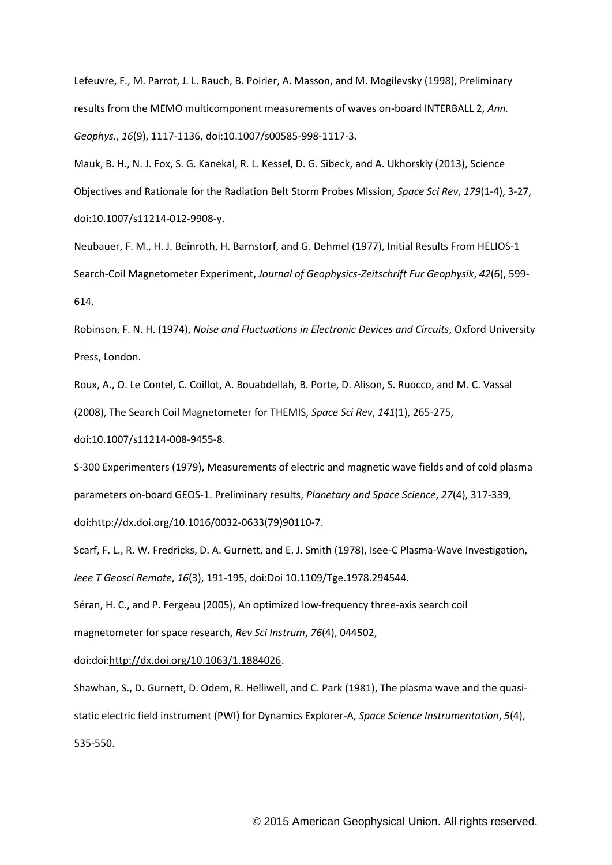Lefeuvre, F., M. Parrot, J. L. Rauch, B. Poirier, A. Masson, and M. Mogilevsky (1998), Preliminary results from the MEMO multicomponent measurements of waves on-board INTERBALL 2, *Ann. Geophys.*, *16*(9), 1117-1136, doi:10.1007/s00585-998-1117-3.

Mauk, B. H., N. J. Fox, S. G. Kanekal, R. L. Kessel, D. G. Sibeck, and A. Ukhorskiy (2013), Science Objectives and Rationale for the Radiation Belt Storm Probes Mission, *Space Sci Rev*, *179*(1-4), 3-27, doi:10.1007/s11214-012-9908-y.

Neubauer, F. M., H. J. Beinroth, H. Barnstorf, and G. Dehmel (1977), Initial Results From HELIOS-1 Search-Coil Magnetometer Experiment, *Journal of Geophysics-Zeitschrift Fur Geophysik*, *42*(6), 599- 614.

Robinson, F. N. H. (1974), *Noise and Fluctuations in Electronic Devices and Circuits*, Oxford University Press, London.

Roux, A., O. Le Contel, C. Coillot, A. Bouabdellah, B. Porte, D. Alison, S. Ruocco, and M. C. Vassal (2008), The Search Coil Magnetometer for THEMIS, *Space Sci Rev*, *141*(1), 265-275,

doi:10.1007/s11214-008-9455-8.

S-300 Experimenters (1979), Measurements of electric and magnetic wave fields and of cold plasma parameters on-board GEOS-1. Preliminary results, *Planetary and Space Science*, *27*(4), 317-339,

doi[:http://dx.doi.org/10.1016/0032-0633\(79\)90110-7.](http://dx.doi.org/10.1016/0032-0633(79)90110-7)

Scarf, F. L., R. W. Fredricks, D. A. Gurnett, and E. J. Smith (1978), Isee-C Plasma-Wave Investigation, *Ieee T Geosci Remote*, *16*(3), 191-195, doi:Doi 10.1109/Tge.1978.294544.

Séran, H. C., and P. Fergeau (2005), An optimized low-frequency three-axis search coil magnetometer for space research, *Rev Sci Instrum*, *76*(4), 044502,

doi:doi[:http://dx.doi.org/10.1063/1.1884026.](http://dx.doi.org/10.1063/1.1884026)

Shawhan, S., D. Gurnett, D. Odem, R. Helliwell, and C. Park (1981), The plasma wave and the quasistatic electric field instrument (PWI) for Dynamics Explorer-A, *Space Science Instrumentation*, *5*(4), 535-550.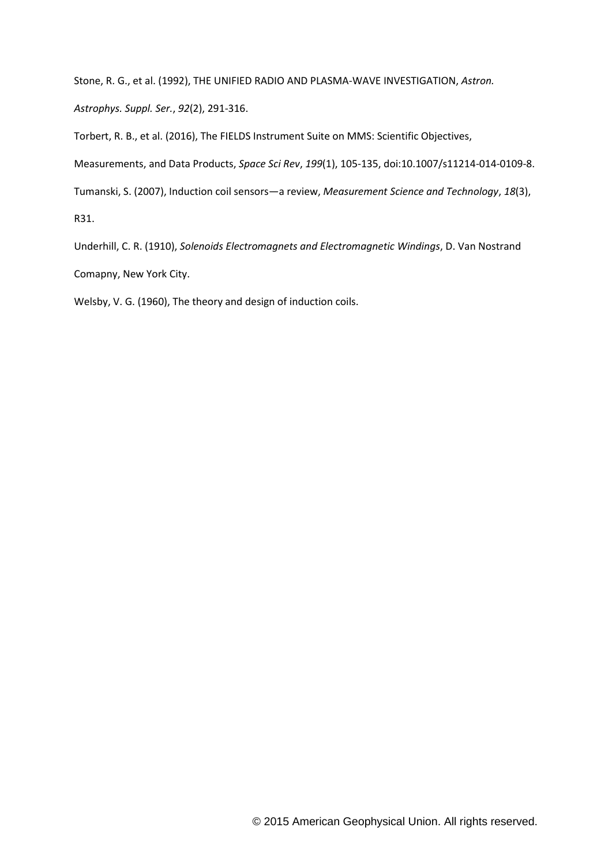Stone, R. G., et al. (1992), THE UNIFIED RADIO AND PLASMA-WAVE INVESTIGATION, *Astron.* 

*Astrophys. Suppl. Ser.*, *92*(2), 291-316.

Torbert, R. B., et al. (2016), The FIELDS Instrument Suite on MMS: Scientific Objectives,

Measurements, and Data Products, *Space Sci Rev*, *199*(1), 105-135, doi:10.1007/s11214-014-0109-8.

Tumanski, S. (2007), Induction coil sensors—a review, *Measurement Science and Technology*, *18*(3),

R31.

Underhill, C. R. (1910), *Solenoids Electromagnets and Electromagnetic Windings*, D. Van Nostrand Comapny, New York City.

Welsby, V. G. (1960), The theory and design of induction coils.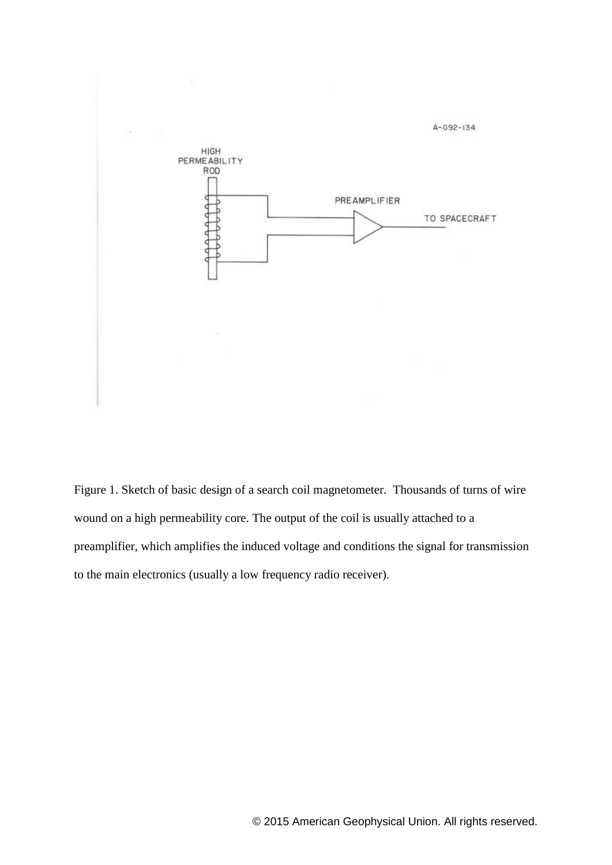

Figure 1. Sketch of basic design of a search coil magnetometer. Thousands of turns of wire wound on a high permeability core. The output of the coil is usually attached to a preamplifier, which amplifies the induced voltage and conditions the signal for transmission to the main electronics (usually a low frequency radio receiver).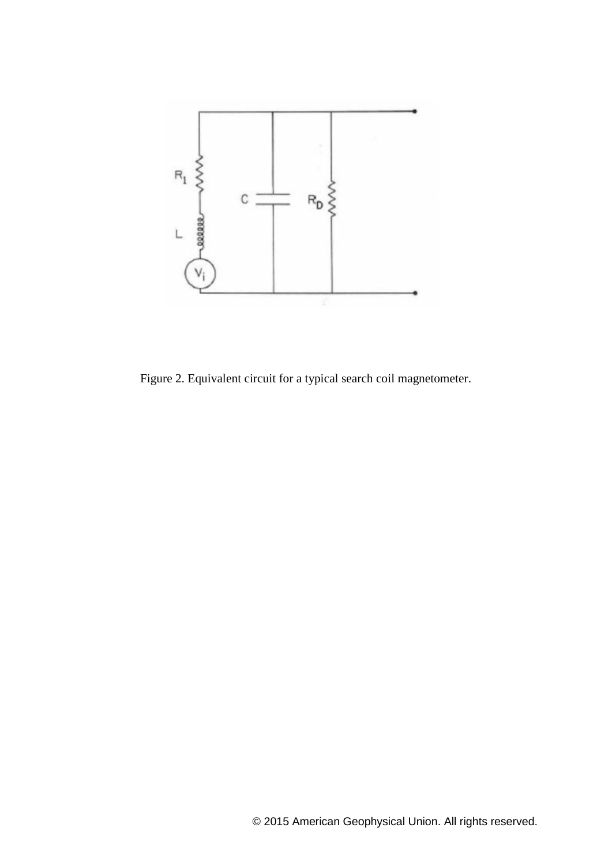

Figure 2. Equivalent circuit for a typical search coil magnetometer.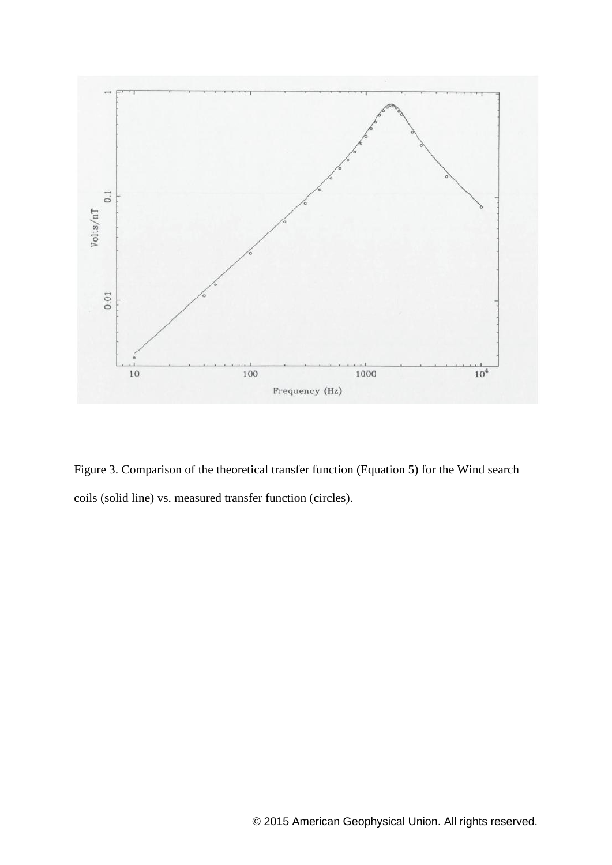

Figure 3. Comparison of the theoretical transfer function (Equation 5) for the Wind search coils (solid line) vs. measured transfer function (circles).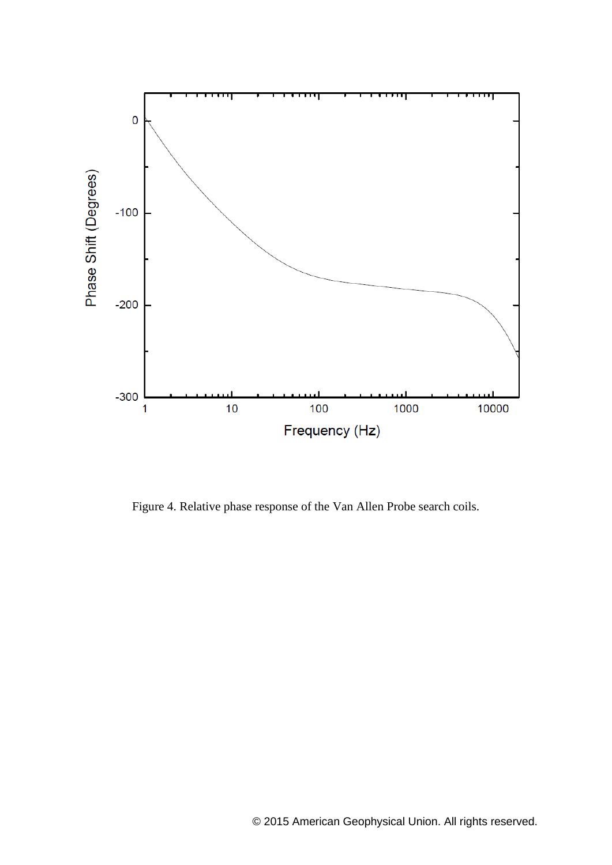

Figure 4. Relative phase response of the Van Allen Probe search coils.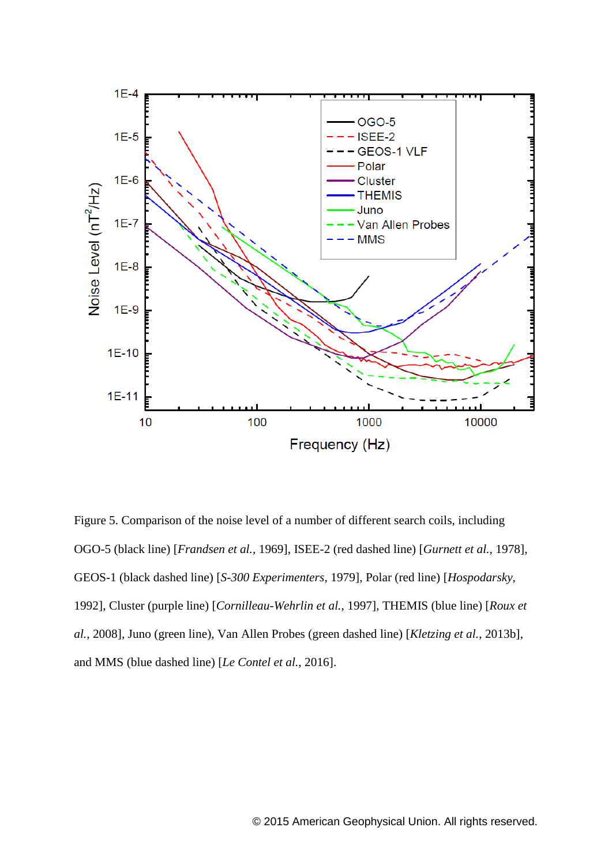

Figure 5. Comparison of the noise level of a number of different search coils, including OGO-5 (black line) [*Frandsen et al.*, 1969], ISEE-2 (red dashed line) [*Gurnett et al.*, 1978], GEOS-1 (black dashed line) [*S-300 Experimenters*, 1979], Polar (red line) [*Hospodarsky*, 1992], Cluster (purple line) [*Cornilleau-Wehrlin et al.*, 1997], THEMIS (blue line) [*Roux et al.*, 2008], Juno (green line), Van Allen Probes (green dashed line) [*Kletzing et al.*, 2013b], and MMS (blue dashed line) [*Le Contel et al.*, 2016].